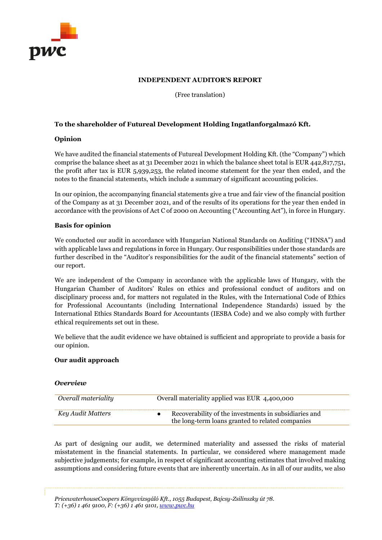

### **INDEPENDENT AUDITOR'S REPORT**

(Free translation)

## **To the shareholder of Futureal Development Holding Ingatlanforgalmazó Kft.**

### **Opinion**

We have audited the financial statements of Futureal Development Holding Kft. (the "Company") which comprise the balance sheet as at 31 December 2021 in which the balance sheet total is EUR 442,817,751, the profit after tax is EUR 5,939,253, the related income statement for the year then ended, and the notes to the financial statements, which include a summary of significant accounting policies.

In our opinion, the accompanying financial statements give a true and fair view of the financial position of the Company as at 31 December 2021, and of the results of its operations for the year then ended in accordance with the provisions of Act C of 2000 on Accounting ("Accounting Act"), in force in Hungary.

### **Basis for opinion**

We conducted our audit in accordance with Hungarian National Standards on Auditing ("HNSA") and with applicable laws and regulations in force in Hungary. Our responsibilities under those standards are further described in the "Auditor's responsibilities for the audit of the financial statements" section of our report.

We are independent of the Company in accordance with the applicable laws of Hungary, with the Hungarian Chamber of Auditors' Rules on ethics and professional conduct of auditors and on disciplinary process and, for matters not regulated in the Rules, with the International Code of Ethics for Professional Accountants (including International Independence Standards) issued by the International Ethics Standards Board for Accountants (IESBA Code) and we also comply with further ethical requirements set out in these.

We believe that the audit evidence we have obtained is sufficient and appropriate to provide a basis for our opinion.

# **Our audit approach**

### *Overview*

| Overall materiality | Overall materiality applied was EUR 4,400,000                                                             |
|---------------------|-----------------------------------------------------------------------------------------------------------|
| Key Audit Matters   | Recoverability of the investments in subsidiaries and<br>the long-term loans granted to related companies |

As part of designing our audit, we determined materiality and assessed the risks of material misstatement in the financial statements. In particular, we considered where management made subjective judgements; for example, in respect of significant accounting estimates that involved making assumptions and considering future events that are inherently uncertain. As in all of our audits, we also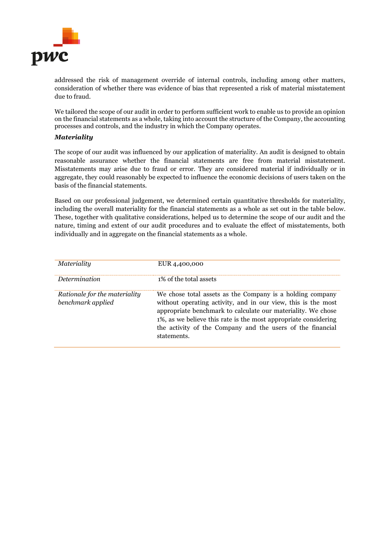

addressed the risk of management override of internal controls, including among other matters, consideration of whether there was evidence of bias that represented a risk of material misstatement due to fraud.

We tailored the scope of our audit in order to perform sufficient work to enable us to provide an opinion on the financial statements as a whole, taking into account the structure of the Company, the accounting processes and controls, and the industry in which the Company operates.

### *Materiality*

The scope of our audit was influenced by our application of materiality. An audit is designed to obtain reasonable assurance whether the financial statements are free from material misstatement. Misstatements may arise due to fraud or error. They are considered material if individually or in aggregate, they could reasonably be expected to influence the economic decisions of users taken on the basis of the financial statements.

Based on our professional judgement, we determined certain quantitative thresholds for materiality, including the overall materiality for the financial statements as a whole as set out in the table below. These, together with qualitative considerations, helped us to determine the scope of our audit and the nature, timing and extent of our audit procedures and to evaluate the effect of misstatements, both individually and in aggregate on the financial statements as a whole.

| Materiality                                        | EUR 4,400,000                                                                                                                                                                                                                                                                                                                              |
|----------------------------------------------------|--------------------------------------------------------------------------------------------------------------------------------------------------------------------------------------------------------------------------------------------------------------------------------------------------------------------------------------------|
| Determination                                      | 1% of the total assets                                                                                                                                                                                                                                                                                                                     |
| Rationale for the materiality<br>benchmark applied | We chose total assets as the Company is a holding company<br>without operating activity, and in our view, this is the most<br>appropriate benchmark to calculate our materiality. We chose<br>1%, as we believe this rate is the most appropriate considering<br>the activity of the Company and the users of the financial<br>statements. |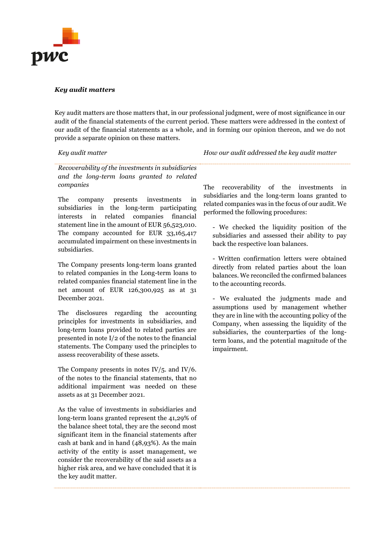

#### *Key audit matters*

Key audit matters are those matters that, in our professional judgment, were of most significance in our audit of the financial statements of the current period. These matters were addressed in the context of our audit of the financial statements as a whole, and in forming our opinion thereon, and we do not provide a separate opinion on these matters.

*Key audit matter How our audit addressed the key audit matter*

*Recoverability of the investments in subsidiaries and the long-term loans granted to related companies*

The company presents investments in subsidiaries in the long-term participating interests in related companies financial statement line in the amount of EUR 56,523,010. The company accounted for EUR 33,165,417 accumulated impairment on these investments in subsidiaries.

The Company presents long-term loans granted to related companies in the Long-term loans to related companies financial statement line in the net amount of EUR 126,300,925 as at 31 December 2021.

The disclosures regarding the accounting principles for investments in subsidiaries, and long-term loans provided to related parties are presented in note I/2 of the notes to the financial statements. The Company used the principles to assess recoverability of these assets.

The Company presents in notes IV/5. and IV/6. of the notes to the financial statements, that no additional impairment was needed on these assets as at 31 December 2021.

As the value of investments in subsidiaries and long-term loans granted represent the 41,29% of the balance sheet total, they are the second most significant item in the financial statements after cash at bank and in hand (48,93%). As the main activity of the entity is asset management, we consider the recoverability of the said assets as a higher risk area, and we have concluded that it is the key audit matter.

The recoverability of the investments in subsidiaries and the long-term loans granted to related companies was in the focus of our audit. We performed the following procedures:

- We checked the liquidity position of the subsidiaries and assessed their ability to pay back the respective loan balances.

- Written confirmation letters were obtained directly from related parties about the loan balances. We reconciled the confirmed balances to the accounting records.

- We evaluated the judgments made and assumptions used by management whether they are in line with the accounting policy of the Company, when assessing the liquidity of the subsidiaries, the counterparties of the longterm loans, and the potential magnitude of the impairment.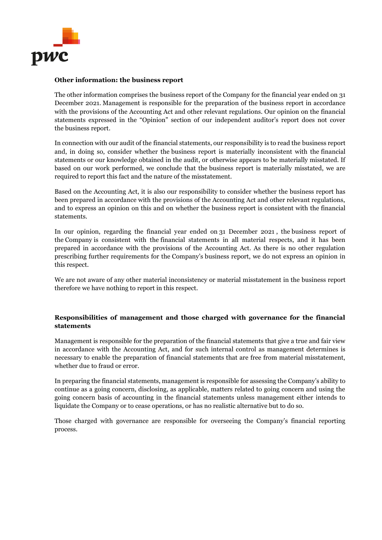

### **Other information: the business report**

The other information comprises the business report of the Company for the financial year ended on 31 December 2021. Management is responsible for the preparation of the business report in accordance with the provisions of the Accounting Act and other relevant regulations. Our opinion on the financial statements expressed in the "Opinion" section of our independent auditor's report does not cover the business report.

In connection with our audit of the financial statements, our responsibility is to read the business report and, in doing so, consider whether the business report is materially inconsistent with the financial statements or our knowledge obtained in the audit, or otherwise appears to be materially misstated. If based on our work performed, we conclude that the business report is materially misstated, we are required to report this fact and the nature of the misstatement.

Based on the Accounting Act, it is also our responsibility to consider whether the business report has been prepared in accordance with the provisions of the Accounting Act and other relevant regulations, and to express an opinion on this and on whether the business report is consistent with the financial statements.

In our opinion, regarding the financial year ended on 31 December 2021 , the business report of the Company is consistent with the financial statements in all material respects, and it has been prepared in accordance with the provisions of the Accounting Act. As there is no other regulation prescribing further requirements for the Company's business report, we do not express an opinion in this respect.

We are not aware of any other material inconsistency or material misstatement in the business report therefore we have nothing to report in this respect.

# **Responsibilities of management and those charged with governance for the financial statements**

Management is responsible for the preparation of the financial statements that give a true and fair view in accordance with the Accounting Act, and for such internal control as management determines is necessary to enable the preparation of financial statements that are free from material misstatement, whether due to fraud or error.

In preparing the financial statements, management is responsible for assessing the Company's ability to continue as a going concern, disclosing, as applicable, matters related to going concern and using the going concern basis of accounting in the financial statements unless management either intends to liquidate the Company or to cease operations, or has no realistic alternative but to do so.

Those charged with governance are responsible for overseeing the Company's financial reporting process.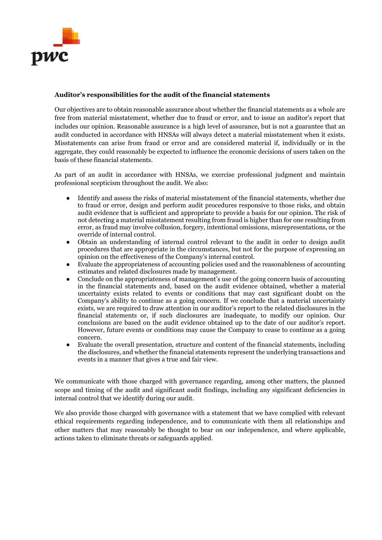

### **Auditor's responsibilities for the audit of the financial statements**

Our objectives are to obtain reasonable assurance about whether the financial statements as a whole are free from material misstatement, whether due to fraud or error, and to issue an auditor's report that includes our opinion. Reasonable assurance is a high level of assurance, but is not a guarantee that an audit conducted in accordance with HNSAs will always detect a material misstatement when it exists. Misstatements can arise from fraud or error and are considered material if, individually or in the aggregate, they could reasonably be expected to influence the economic decisions of users taken on the basis of these financial statements.

As part of an audit in accordance with HNSAs, we exercise professional judgment and maintain professional scepticism throughout the audit. We also:

- Identify and assess the risks of material misstatement of the financial statements, whether due to fraud or error, design and perform audit procedures responsive to those risks, and obtain audit evidence that is sufficient and appropriate to provide a basis for our opinion. The risk of not detecting a material misstatement resulting from fraud is higher than for one resulting from error, as fraud may involve collusion, forgery, intentional omissions, misrepresentations, or the override of internal control.
- Obtain an understanding of internal control relevant to the audit in order to design audit procedures that are appropriate in the circumstances, but not for the purpose of expressing an opinion on the effectiveness of the Company's internal control.
- Evaluate the appropriateness of accounting policies used and the reasonableness of accounting estimates and related disclosures made by management.
- Conclude on the appropriateness of management's use of the going concern basis of accounting in the financial statements and, based on the audit evidence obtained, whether a material uncertainty exists related to events or conditions that may cast significant doubt on the Company's ability to continue as a going concern. If we conclude that a material uncertainty exists, we are required to draw attention in our auditor's report to the related disclosures in the financial statements or, if such disclosures are inadequate, to modify our opinion. Our conclusions are based on the audit evidence obtained up to the date of our auditor's report. However, future events or conditions may cause the Company to cease to continue as a going concern.
- Evaluate the overall presentation, structure and content of the financial statements, including the disclosures, and whether the financial statements represent the underlying transactions and events in a manner that gives a true and fair view.

We communicate with those charged with governance regarding, among other matters, the planned scope and timing of the audit and significant audit findings, including any significant deficiencies in internal control that we identify during our audit.

We also provide those charged with governance with a statement that we have complied with relevant ethical requirements regarding independence, and to communicate with them all relationships and other matters that may reasonably be thought to bear on our independence, and where applicable, actions taken to eliminate threats or safeguards applied.